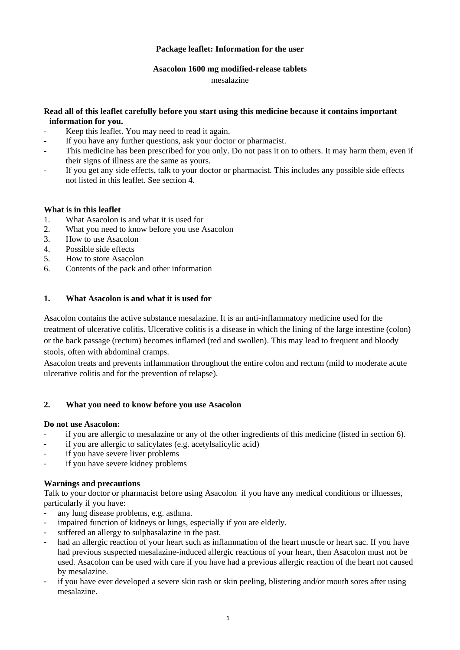## **Package leaflet: Information for the user**

#### **Asacolon 1600 mg modified-release tablets**

mesalazine

## **Read all of this leaflet carefully before you start using this medicine because it contains important information for you.**

- Keep this leaflet. You may need to read it again.
- If you have any further questions, ask your doctor or pharmacist.
- This medicine has been prescribed for you only. Do not pass it on to others. It may harm them, even if their signs of illness are the same as yours.
- If you get any side effects, talk to your doctor or pharmacist. This includes any possible side effects not listed in this leaflet. See section 4.

## **What is in this leaflet**

- 1. What Asacolon is and what it is used for
- 2. What you need to know before you use Asacolon
- 3. How to use Asacolon
- 4. Possible side effects
- 5. How to store Asacolon
- 6. Contents of the pack and other information

## **1. What Asacolon is and what it is used for**

Asacolon contains the active substance mesalazine. It is an anti-inflammatory medicine used for the treatment of ulcerative colitis. Ulcerative colitis is a disease in which the lining of the large intestine (colon) or the back passage (rectum) becomes inflamed (red and swollen). This may lead to frequent and bloody stools, often with abdominal cramps.

Asacolon treats and prevents inflammation throughout the entire colon and rectum (mild to moderate acute ulcerative colitis and for the prevention of relapse).

## **2. What you need to know before you use Asacolon**

#### **Do not use Asacolon:**

- if you are allergic to mesalazine or any of the other ingredients of this medicine (listed in section 6).
- if you are allergic to salicylates (e.g. acetylsalicylic acid)
- if you have severe liver problems
- if you have severe kidney problems

#### **Warnings and precautions**

Talk to your doctor or pharmacist before using Asacolon if you have any medical conditions or illnesses, particularly if you have:

- any lung disease problems, e.g. asthma.
- impaired function of kidneys or lungs, especially if you are elderly.
- suffered an allergy to sulphasalazine in the past.
- had an allergic reaction of your heart such as inflammation of the heart muscle or heart sac. If you have had previous suspected mesalazine-induced allergic reactions of your heart, then Asacolon must not be used. Asacolon can be used with care if you have had a previous allergic reaction of the heart not caused by mesalazine.
- if you have ever developed a severe skin rash or skin peeling, blistering and/or mouth sores after using mesalazine.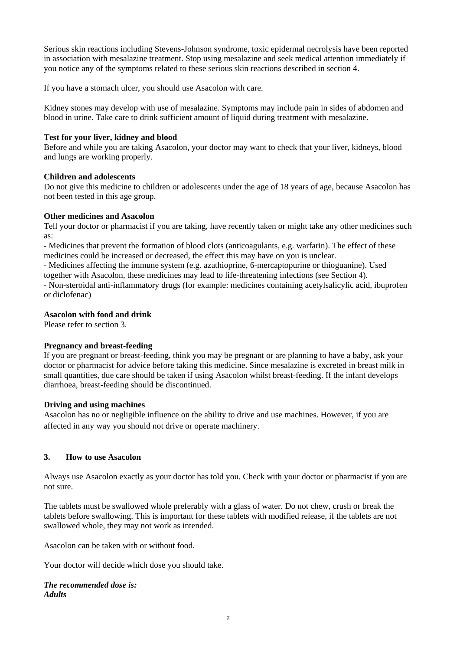Serious skin reactions including Stevens-Johnson syndrome, toxic epidermal necrolysis have been reported in association with mesalazine treatment. Stop using mesalazine and seek medical attention immediately if you notice any of the symptoms related to these serious skin reactions described in section 4.

If you have a stomach ulcer, you should use Asacolon with care.

Kidney stones may develop with use of mesalazine. Symptoms may include pain in sides of abdomen and blood in urine. Take care to drink sufficient amount of liquid during treatment with mesalazine.

### **Test for your liver, kidney and blood**

Before and while you are taking Asacolon, your doctor may want to check that your liver, kidneys, blood and lungs are working properly.

#### **Children and adolescents**

Do not give this medicine to children or adolescents under the age of 18 years of age, because Asacolon has not been tested in this age group.

#### **Other medicines and Asacolon**

Tell your doctor or pharmacist if you are taking, have recently taken or might take any other medicines such as:

- Medicines that prevent the formation of blood clots (anticoagulants, e.g. warfarin). The effect of these medicines could be increased or decreased, the effect this may have on you is unclear.

- Medicines affecting the immune system (e.g. azathioprine, 6-mercaptopurine or thioguanine). Used together with Asacolon, these medicines may lead to life-threatening infections (see Section 4). - Non-steroidal anti-inflammatory drugs (for example: medicines containing acetylsalicylic acid, ibuprofen or diclofenac)

## **Asacolon with food and drink**

Please refer to section 3.

# **Pregnancy and breast-feeding**

If you are pregnant or breast-feeding, think you may be pregnant or are planning to have a baby, ask your doctor or pharmacist for advice before taking this medicine. Since mesalazine is excreted in breast milk in small quantities, due care should be taken if using Asacolon whilst breast-feeding. If the infant develops diarrhoea, breast-feeding should be discontinued.

#### **Driving and using machines**

Asacolon has no or negligible influence on the ability to drive and use machines. However, if you are affected in any way you should not drive or operate machinery.

# **3. How to use Asacolon**

Always use Asacolon exactly as your doctor has told you. Check with your doctor or pharmacist if you are not sure.

The tablets must be swallowed whole preferably with a glass of water. Do not chew, crush or break the tablets before swallowing. This is important for these tablets with modified release, if the tablets are not swallowed whole, they may not work as intended.

Asacolon can be taken with or without food.

Your doctor will decide which dose you should take.

*The recommended dose is: Adults*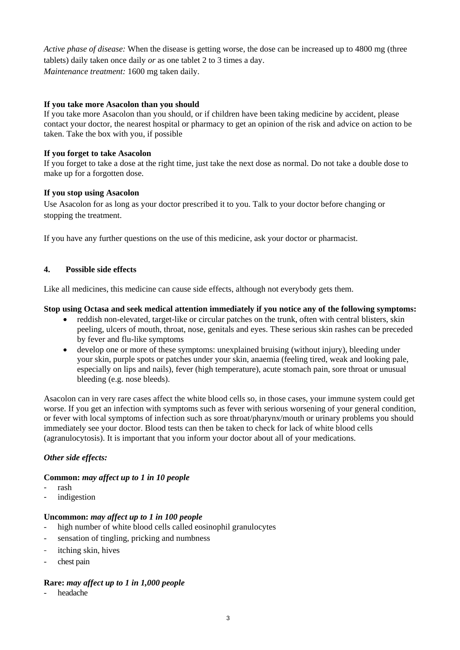*Active phase of disease:* When the disease is getting worse, the dose can be increased up to 4800 mg (three tablets) daily taken once daily *or* as one tablet 2 to 3 times a day. *Maintenance treatment:* 1600 mg taken daily.

## **If you take more Asacolon than you should**

If you take more Asacolon than you should, or if children have been taking medicine by accident, please contact your doctor, the nearest hospital or pharmacy to get an opinion of the risk and advice on action to be taken. Take the box with you, if possible

### **If you forget to take Asacolon**

If you forget to take a dose at the right time, just take the next dose as normal. Do not take a double dose to make up for a forgotten dose.

## **If you stop using Asacolon**

Use Asacolon for as long as your doctor prescribed it to you. Talk to your doctor before changing or stopping the treatment.

If you have any further questions on the use of this medicine, ask your doctor or pharmacist.

## **4. Possible side effects**

Like all medicines, this medicine can cause side effects, although not everybody gets them.

## **Stop using Octasa and seek medical attention immediately if you notice any of the following symptoms:**

- reddish non-elevated, target-like or circular patches on the trunk, often with central blisters, skin peeling, ulcers of mouth, throat, nose, genitals and eyes. These serious skin rashes can be preceded by fever and flu-like symptoms
- develop one or more of these symptoms: unexplained bruising (without injury), bleeding under your skin, purple spots or patches under your skin, anaemia (feeling tired, weak and looking pale, especially on lips and nails), fever (high temperature), acute stomach pain, sore throat or unusual bleeding (e.g. nose bleeds).

Asacolon can in very rare cases affect the white blood cells so, in those cases, your immune system could get worse. If you get an infection with symptoms such as fever with serious worsening of your general condition, or fever with local symptoms of infection such as sore throat/pharynx/mouth or urinary problems you should immediately see your doctor. Blood tests can then be taken to check for lack of white blood cells (agranulocytosis). It is important that you inform your doctor about all of your medications.

# *Other side effects:*

#### **Common:** *may affect up to 1 in 10 people*

- rash
- indigestion

#### **Uncommon:** *may affect up to 1 in 100 people*

- high number of white blood cells called eosinophil granulocytes
- sensation of tingling, pricking and numbness
- itching skin, hives
- chest pain

# **Rare:** *may affect up to 1 in 1,000 people*

headache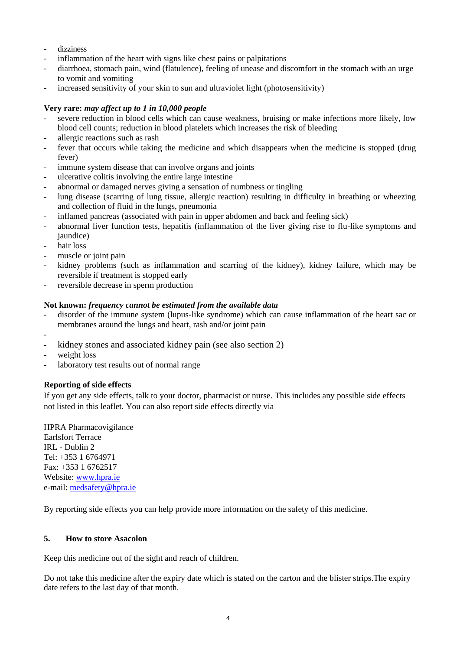- dizziness
- inflammation of the heart with signs like chest pains or palpitations
- diarrhoea, stomach pain, wind (flatulence), feeling of unease and discomfort in the stomach with an urge to vomit and vomiting
- increased sensitivity of your skin to sun and ultraviolet light (photosensitivity)

### **Very rare:** *may affect up to 1 in 10,000 people*

- severe reduction in blood cells which can cause weakness, bruising or make infections more likely, low blood cell counts; reduction in blood platelets which increases the risk of bleeding
- allergic reactions such as rash
- fever that occurs while taking the medicine and which disappears when the medicine is stopped (drug fever)
- immune system disease that can involve organs and joints
- ulcerative colitis involving the entire large intestine
- abnormal or damaged nerves giving a sensation of numbness or tingling
- lung disease (scarring of lung tissue, allergic reaction) resulting in difficulty in breathing or wheezing and collection of fluid in the lungs, pneumonia
- inflamed pancreas (associated with pain in upper abdomen and back and feeling sick)
- abnormal liver function tests, hepatitis (inflammation of the liver giving rise to flu-like symptoms and jaundice)
- hair loss
- muscle or joint pain
- kidney problems (such as inflammation and scarring of the kidney), kidney failure, which may be reversible if treatment is stopped early
- reversible decrease in sperm production

## **Not known:** *frequency cannot be estimated from the available data*

- disorder of the immune system (lupus-like syndrome) which can cause inflammation of the heart sac or membranes around the lungs and heart, rash and/or joint pain
- kidney stones and associated kidney pain (see also section 2)
- weight loss

-

- laboratory test results out of normal range

# **Reporting of side effects**

If you get any side effects, talk to your doctor, pharmacist or nurse. This includes any possible side effects not listed in this leaflet. You can also report side effects directly via

HPRA Pharmacovigilance Earlsfort Terrace IRL - Dublin 2 Tel: +353 1 6764971 Fax: +353 1 6762517 Website: [www.hpra.ie](http://www.hpra.ie/) e-mail: [medsafety@hpra.ie](mailto:medsafety@hpra.ie)

By reporting side effects you can help provide more information on the safety of this medicine.

#### **5. How to store Asacolon**

Keep this medicine out of the sight and reach of children.

Do not take this medicine after the expiry date which is stated on the carton and the blister strips.The expiry date refers to the last day of that month.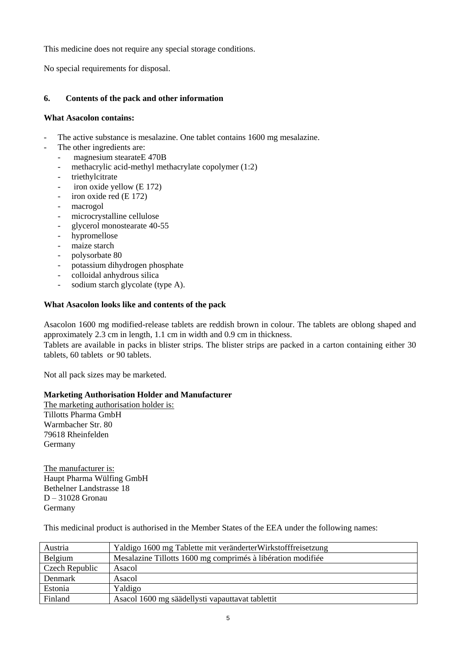This medicine does not require any special storage conditions.

No special requirements for disposal.

# **6. Contents of the pack and other information**

### **What Asacolon contains:**

- The active substance is mesalazine. One tablet contains 1600 mg mesalazine.
- The other ingredients are:
	- magnesium stearateE 470B
	- methacrylic acid-methyl methacrylate copolymer (1:2)
	- triethylcitrate
	- iron oxide yellow  $(E 172)$
	- iron oxide red (E 172)
	- macrogol
	- microcrystalline cellulose
	- glycerol monostearate 40-55
	- hypromellose
	- maize starch
	- polysorbate 80
	- potassium dihydrogen phosphate
	- colloidal anhydrous silica
	- sodium starch glycolate (type A).

## **What Asacolon looks like and contents of the pack**

Asacolon 1600 mg modified-release tablets are reddish brown in colour. The tablets are oblong shaped and approximately 2.3 cm in length, 1.1 cm in width and 0.9 cm in thickness.

Tablets are available in packs in blister strips. The blister strips are packed in a carton containing either 30 tablets, 60 tablets or 90 tablets.

Not all pack sizes may be marketed.

#### **Marketing Authorisation Holder and Manufacturer**

The marketing authorisation holder is: Tillotts Pharma GmbH Warmbacher Str. 80 79618 Rheinfelden Germany

The manufacturer is: Haupt Pharma Wülfing GmbH Bethelner Landstrasse 18 D – 31028 Gronau Germany

This medicinal product is authorised in the Member States of the EEA under the following names:

| Austria        | Yaldigo 1600 mg Tablette mit veränderterWirkstofffreisetzung |
|----------------|--------------------------------------------------------------|
| Belgium        | Mesalazine Tillotts 1600 mg comprimés à libération modifiée  |
| Czech Republic | Asacol                                                       |
| Denmark        | Asacol                                                       |
| Estonia        | Yaldigo                                                      |
| Finland        | Asacol 1600 mg säädellysti vapauttavat tablettit             |